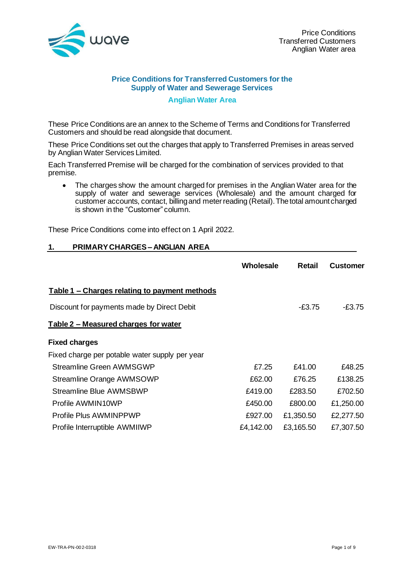

#### **Price Conditions for Transferred Customers for the Supply of Water and Sewerage Services**

#### **Anglian Water Area**

These Price Conditions are an annex to the Scheme of Terms and Conditions for Transferred Customers and should be read alongside that document.

These Price Conditions set out the charges that apply to Transferred Premises in areas served by Anglian Water Services Limited.

Each Transferred Premise will be charged for the combination of services provided to that premise.

• The charges show the amount charged for premises in the Anglian Water area for the supply of water and sewerage services (Wholesale) and the amount charged for customer accounts, contact, billing and meter reading (Retail). The total amount charged is shown in the "Customer" column.

These Price Conditions come into effect on 1 April 2022.

#### **1. PRIMARY CHARGES – ANGLIAN AREA**

|                                                | Wholesale | <b>Retail</b> | <b>Customer</b> |
|------------------------------------------------|-----------|---------------|-----------------|
| Table 1 – Charges relating to payment methods  |           |               |                 |
| Discount for payments made by Direct Debit     |           | $-E3.75$      | -£3.75          |
| Table 2 – Measured charges for water           |           |               |                 |
| <b>Fixed charges</b>                           |           |               |                 |
| Fixed charge per potable water supply per year |           |               |                 |
| <b>Streamline Green AWMSGWP</b>                | £7.25     | £41.00        | £48.25          |
| Streamline Orange AWMSOWP                      | £62.00    | £76.25        | £138.25         |
| <b>Streamline Blue AWMSBWP</b>                 | £419.00   | £283.50       | £702.50         |
| Profile AWMIN10WP                              | £450.00   | £800.00       | £1,250.00       |
| Profile Plus AWMINPPWP                         | £927.00   | £1,350.50     | £2,277.50       |
| Profile Interruptible AWMIIWP                  | £4,142.00 | £3,165.50     | £7,307.50       |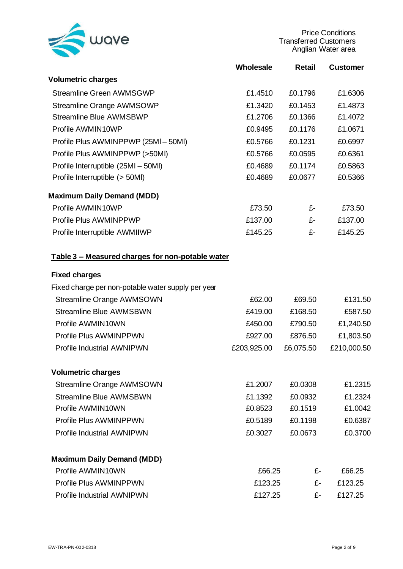

Price Conditions Transferred Customers Anglian Water area

|                                                    | <b>Wholesale</b> | <b>Retail</b> | <b>Customer</b> |
|----------------------------------------------------|------------------|---------------|-----------------|
| <b>Volumetric charges</b>                          |                  |               |                 |
| <b>Streamline Green AWMSGWP</b>                    | £1.4510          | £0.1796       | £1.6306         |
| <b>Streamline Orange AWMSOWP</b>                   | £1.3420          | £0.1453       | £1.4873         |
| <b>Streamline Blue AWMSBWP</b>                     | £1.2706          | £0.1366       | £1.4072         |
| Profile AWMIN10WP                                  | £0.9495          | £0.1176       | £1.0671         |
| Profile Plus AWMINPPWP (25MI-50MI)                 | £0.5766          | £0.1231       | £0.6997         |
| Profile Plus AWMINPPWP (>50MI)                     | £0.5766          | £0.0595       | £0.6361         |
| Profile Interruptible (25MI - 50MI)                | £0.4689          | £0.1174       | £0.5863         |
| Profile Interruptible (> 50MI)                     | £0.4689          | £0.0677       | £0.5366         |
| <b>Maximum Daily Demand (MDD)</b>                  |                  |               |                 |
| Profile AWMIN10WP                                  | £73.50           | £-            | £73.50          |
| Profile Plus AWMINPPWP                             | £137.00          | £-            | £137.00         |
| Profile Interruptible AWMIIWP                      | £145.25          | £-            | £145.25         |
| Table 3 - Measured charges for non-potable water   |                  |               |                 |
| <b>Fixed charges</b>                               |                  |               |                 |
| Fixed charge per non-potable water supply per year |                  |               |                 |
| <b>Streamline Orange AWMSOWN</b>                   | £62.00           | £69.50        | £131.50         |
| <b>Streamline Blue AWMSBWN</b>                     | £419.00          | £168.50       | £587.50         |
| Profile AWMIN10WN                                  | £450.00          | £790.50       | £1,240.50       |
| Profile Plus AWMINPPWN                             | £927.00          | £876.50       | £1,803.50       |
| <b>Profile Industrial AWNIPWN</b>                  | £203,925.00      | £6,075.50     | £210,000.50     |
| <b>Volumetric charges</b>                          |                  |               |                 |
| <b>Streamline Orange AWMSOWN</b>                   | £1.2007          | £0.0308       | £1.2315         |
| <b>Streamline Blue AWMSBWN</b>                     | £1.1392          | £0.0932       | £1.2324         |
| Profile AWMIN10WN                                  | £0.8523          | £0.1519       | £1.0042         |
| Profile Plus AWMINPPWN                             | £0.5189          | £0.1198       | £0.6387         |
| <b>Profile Industrial AWNIPWN</b>                  | £0.3027          | £0.0673       | £0.3700         |
| <b>Maximum Daily Demand (MDD)</b>                  |                  |               |                 |
| Profile AWMIN10WN                                  | £66.25           | £-            | £66.25          |
| Profile Plus AWMINPPWN                             | £123.25          | £-            | £123.25         |
| <b>Profile Industrial AWNIPWN</b>                  | £127.25          | £-            | £127.25         |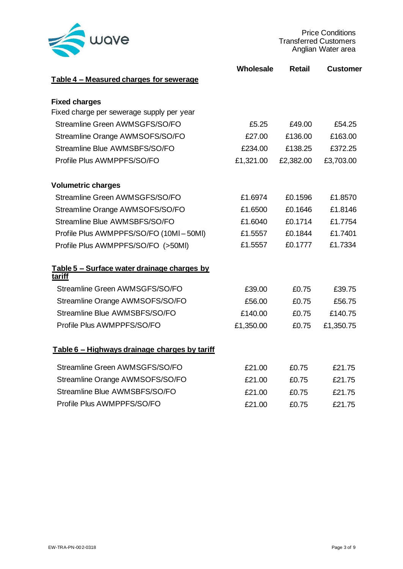

Price Conditions Transferred Customers Anglian Water area

|                                                       | Wholesale | <b>Retail</b> | <b>Customer</b> |
|-------------------------------------------------------|-----------|---------------|-----------------|
| Table 4 - Measured charges for sewerage               |           |               |                 |
| <b>Fixed charges</b>                                  |           |               |                 |
| Fixed charge per sewerage supply per year             |           |               |                 |
| Streamline Green AWMSGFS/SO/FO                        | £5.25     | £49.00        | £54.25          |
| Streamline Orange AWMSOFS/SO/FO                       | £27.00    | £136.00       | £163.00         |
| Streamline Blue AWMSBFS/SO/FO                         | £234.00   | £138.25       | £372.25         |
| Profile Plus AWMPPFS/SO/FO                            | £1,321.00 | £2,382.00     | £3,703.00       |
| <b>Volumetric charges</b>                             |           |               |                 |
| Streamline Green AWMSGFS/SO/FO                        | £1.6974   | £0.1596       | £1.8570         |
| Streamline Orange AWMSOFS/SO/FO                       | £1.6500   | £0.1646       | £1.8146         |
| Streamline Blue AWMSBFS/SO/FO                         | £1.6040   | £0.1714       | £1.7754         |
| Profile Plus AWMPPFS/SO/FO (10MI-50MI)                | £1.5557   | £0.1844       | £1.7401         |
| Profile Plus AWMPPFS/SO/FO (>50MI)                    | £1.5557   | £0.1777       | £1.7334         |
| Table 5 - Surface water drainage charges by<br>tariff |           |               |                 |
| Streamline Green AWMSGFS/SO/FO                        | £39.00    | £0.75         | £39.75          |
| Streamline Orange AWMSOFS/SO/FO                       | £56.00    | £0.75         | £56.75          |
| Streamline Blue AWMSBFS/SO/FO                         | £140.00   | £0.75         | £140.75         |
| Profile Plus AWMPPFS/SO/FO                            | £1,350.00 | £0.75         | £1,350.75       |
| Table 6 - Highways drainage charges by tariff         |           |               |                 |
| Streamline Green AWMSGFS/SO/FO                        | £21.00    | £0.75         | £21.75          |
| Streamline Orange AWMSOFS/SO/FO                       | £21.00    | £0.75         | £21.75          |
| Streamline Blue AWMSBFS/SO/FO                         | £21.00    | £0.75         | £21.75          |
| Profile Plus AWMPPFS/SO/FO                            | £21.00    | £0.75         | £21.75          |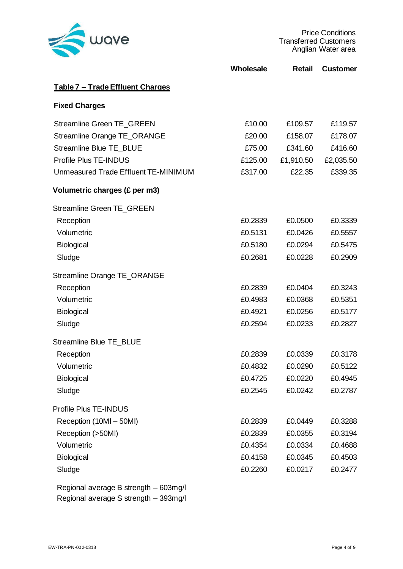

Price Conditions Transferred Customers Anglian Water area

|                                      | Wholesale | <b>Retail</b> | <b>Customer</b> |
|--------------------------------------|-----------|---------------|-----------------|
| Table 7 - Trade Effluent Charges     |           |               |                 |
| <b>Fixed Charges</b>                 |           |               |                 |
| Streamline Green TE_GREEN            | £10.00    | £109.57       | £119.57         |
| Streamline Orange TE_ORANGE          | £20.00    | £158.07       | £178.07         |
| <b>Streamline Blue TE BLUE</b>       | £75.00    | £341.60       | £416.60         |
| Profile Plus TE-INDUS                | £125.00   | £1,910.50     | £2,035.50       |
| Unmeasured Trade Effluent TE-MINIMUM | £317.00   | £22.35        | £339.35         |
| Volumetric charges (£ per m3)        |           |               |                 |
| Streamline Green TE_GREEN            |           |               |                 |
| Reception                            | £0.2839   | £0.0500       | £0.3339         |
| Volumetric                           | £0.5131   | £0.0426       | £0.5557         |
| Biological                           | £0.5180   | £0.0294       | £0.5475         |
| Sludge                               | £0.2681   | £0.0228       | £0.2909         |
| Streamline Orange TE_ORANGE          |           |               |                 |
| Reception                            | £0.2839   | £0.0404       | £0.3243         |
| Volumetric                           | £0.4983   | £0.0368       | £0.5351         |
| Biological                           | £0.4921   | £0.0256       | £0.5177         |
| Sludge                               | £0.2594   | £0.0233       | £0.2827         |
| <b>Streamline Blue TE BLUE</b>       |           |               |                 |
| Reception                            | £0.2839   | £0.0339       | £0.3178         |
| Volumetric                           | £0.4832   | £0.0290       | £0.5122         |
| Biological                           | £0.4725   | £0.0220       | £0.4945         |
| Sludge                               | £0.2545   | £0.0242       | £0.2787         |
| Profile Plus TE-INDUS                |           |               |                 |
| Reception (10MI - 50MI)              | £0.2839   | £0.0449       | £0.3288         |
| Reception (>50Ml)                    | £0.2839   | £0.0355       | £0.3194         |
| Volumetric                           | £0.4354   | £0.0334       | £0.4688         |
| Biological                           | £0.4158   | £0.0345       | £0.4503         |
| Sludge                               | £0.2260   | £0.0217       | £0.2477         |

Regional average B strength – 603mg/l Regional average S strength – 393mg/l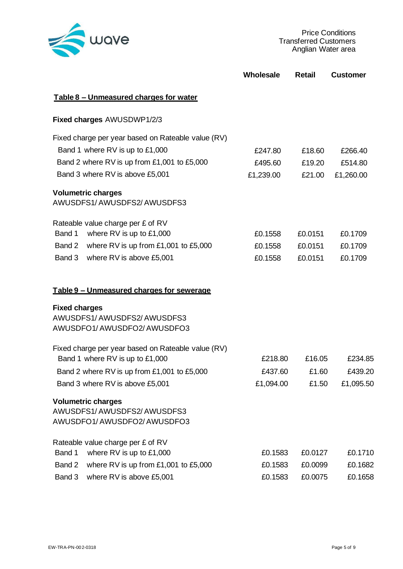

|                                                                                       | Wholesale | <b>Retail</b> | <b>Customer</b> |
|---------------------------------------------------------------------------------------|-----------|---------------|-----------------|
| Table 8 - Unmeasured charges for water                                                |           |               |                 |
| Fixed charges AWUSDWP1/2/3                                                            |           |               |                 |
| Fixed charge per year based on Rateable value (RV)                                    |           |               |                 |
| Band 1 where RV is up to £1,000                                                       | £247.80   | £18.60        | £266.40         |
| Band 2 where RV is up from £1,001 to £5,000                                           | £495.60   | £19.20        | £514.80         |
| Band 3 where RV is above £5,001                                                       | £1,239.00 | £21.00        | £1,260.00       |
| <b>Volumetric charges</b><br>AWUSDFS1/AWUSDFS2/AWUSDFS3                               |           |               |                 |
| Rateable value charge per £ of RV                                                     |           |               |                 |
| where RV is up to £1,000<br>Band 1                                                    | £0.1558   | £0.0151       | £0.1709         |
| Band 2<br>where RV is up from £1,001 to £5,000                                        | £0.1558   | £0.0151       | £0.1709         |
| Band 3<br>where RV is above £5,001                                                    | £0.1558   | £0.0151       | £0.1709         |
| <u>Table 9 – Unmeasured charges for sewerage</u>                                      |           |               |                 |
| <b>Fixed charges</b>                                                                  |           |               |                 |
| AWUSDFS1/AWUSDFS2/AWUSDFS3<br>AWUSDFO1/AWUSDFO2/AWUSDFO3                              |           |               |                 |
| Fixed charge per year based on Rateable value (RV)<br>Band 1 where RV is up to £1,000 | £218.80   | £16.05        | £234.85         |
| Band 2 where RV is up from £1,001 to £5,000                                           | £437.60   | £1.60         | £439.20         |
| Band 3 where RV is above £5,001                                                       | £1,094.00 | £1.50         | £1,095.50       |
| <b>Volumetric charges</b><br>AWUSDFS1/AWUSDFS2/AWUSDFS3<br>AWUSDFO1/AWUSDFO2/AWUSDFO3 |           |               |                 |
| Rateable value charge per £ of RV                                                     |           |               |                 |
| where RV is up to £1,000<br>Band 1                                                    | £0.1583   | £0.0127       | £0.1710         |
| Band 2<br>where RV is up from £1,001 to £5,000                                        | £0.1583   | £0.0099       | £0.1682         |
| Band 3<br>where RV is above £5,001                                                    | £0.1583   | £0.0075       | £0.1658         |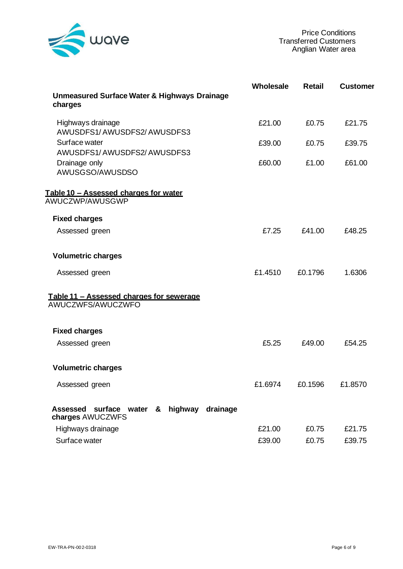

|                                                                     | Wholesale | <b>Retail</b> | <b>Customer</b> |
|---------------------------------------------------------------------|-----------|---------------|-----------------|
| <b>Unmeasured Surface Water &amp; Highways Drainage</b><br>charges  |           |               |                 |
| Highways drainage<br>AWUSDFS1/AWUSDFS2/AWUSDFS3                     | £21.00    | £0.75         | £21.75          |
| Surface water<br>AWUSDFS1/AWUSDFS2/AWUSDFS3                         | £39.00    | £0.75         | £39.75          |
| Drainage only<br>AWUSGSO/AWUSDSO                                    | £60.00    | £1.00         | £61.00          |
| <u>Table 10 – Assessed charges for water</u><br>AWUCZWP/AWUSGWP     |           |               |                 |
| <b>Fixed charges</b>                                                |           |               |                 |
| Assessed green                                                      | £7.25     | £41.00        | £48.25          |
| <b>Volumetric charges</b>                                           |           |               |                 |
| Assessed green                                                      | £1.4510   | £0.1796       | 1.6306          |
| Table 11 - Assessed charges for sewerage<br>AWUCZWFS/AWUCZWFO       |           |               |                 |
| <b>Fixed charges</b>                                                |           |               |                 |
| Assessed green                                                      | £5.25     | £49.00        | £54.25          |
| <b>Volumetric charges</b>                                           |           |               |                 |
| Assessed green                                                      | £1.6974   | £0.1596       | £1.8570         |
| Assessed surface water<br>& highway<br>drainage<br>charges AWUCZWFS |           |               |                 |
| Highways drainage                                                   | £21.00    | £0.75         | £21.75          |
| Surface water                                                       | £39.00    | £0.75         | £39.75          |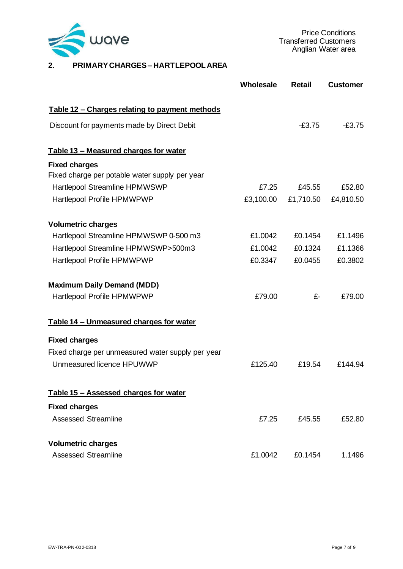

# **2. PRIMARY CHARGES – HARTLEPOOLAREA**

|                                                       | Wholesale | <b>Retail</b> | <b>Customer</b> |
|-------------------------------------------------------|-----------|---------------|-----------------|
| <u>Table 12 – Charges relating to payment methods</u> |           |               |                 |
| Discount for payments made by Direct Debit            |           | $-£3.75$      | $-£3.75$        |
| Table 13 - Measured charges for water                 |           |               |                 |
| <b>Fixed charges</b>                                  |           |               |                 |
| Fixed charge per potable water supply per year        |           |               |                 |
| Hartlepool Streamline HPMWSWP                         | £7.25     | £45.55        | £52.80          |
| Hartlepool Profile HPMWPWP                            | £3,100.00 | £1,710.50     | £4,810.50       |
| <b>Volumetric charges</b>                             |           |               |                 |
| Hartlepool Streamline HPMWSWP 0-500 m3                | £1,0042   | £0.1454       | £1.1496         |
| Hartlepool Streamline HPMWSWP>500m3                   | £1.0042   | £0.1324       | £1.1366         |
| Hartlepool Profile HPMWPWP                            | £0.3347   | £0.0455       | £0.3802         |
| <b>Maximum Daily Demand (MDD)</b>                     |           |               |                 |
| Hartlepool Profile HPMWPWP                            | £79.00    | £-            | £79.00          |
| Table 14 - Unmeasured charges for water               |           |               |                 |
| <b>Fixed charges</b>                                  |           |               |                 |
| Fixed charge per unmeasured water supply per year     |           |               |                 |
| Unmeasured licence HPUWWP                             | £125.40   | £19.54        | £144.94         |
| Table 15 - Assessed charges for water                 |           |               |                 |
| <b>Fixed charges</b>                                  |           |               |                 |
| <b>Assessed Streamline</b>                            | £7.25     | £45.55        | £52.80          |
| <b>Volumetric charges</b>                             |           |               |                 |
| <b>Assessed Streamline</b>                            | £1.0042   | £0.1454       | 1.1496          |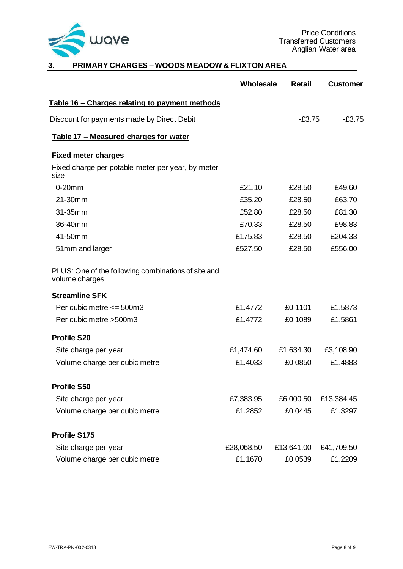

# **3. PRIMARY CHARGES – WOODS MEADOW & FLIXTON AREA**

|                                                                       | Wholesale  | <b>Retail</b> | <b>Customer</b> |
|-----------------------------------------------------------------------|------------|---------------|-----------------|
| <u>Table 16 – Charges relating to payment methods</u>                 |            |               |                 |
| Discount for payments made by Direct Debit                            |            | $-£3.75$      | $-£3.75$        |
| Table 17 - Measured charges for water                                 |            |               |                 |
| <b>Fixed meter charges</b>                                            |            |               |                 |
| Fixed charge per potable meter per year, by meter<br>size             |            |               |                 |
| $0-20$ mm                                                             | £21.10     | £28.50        | £49.60          |
| 21-30mm                                                               | £35.20     | £28.50        | £63.70          |
| 31-35mm                                                               | £52.80     | £28.50        | £81.30          |
| 36-40mm                                                               | £70.33     | £28.50        | £98.83          |
| 41-50mm                                                               | £175.83    | £28.50        | £204.33         |
| 51mm and larger                                                       | £527.50    | £28.50        | £556.00         |
| PLUS: One of the following combinations of site and<br>volume charges |            |               |                 |
| <b>Streamline SFK</b>                                                 |            |               |                 |
| Per cubic metre $\leq$ 500m3                                          | £1.4772    | £0.1101       | £1.5873         |
| Per cubic metre > 500m3                                               | £1.4772    | £0.1089       | £1.5861         |
| <b>Profile S20</b>                                                    |            |               |                 |
| Site charge per year                                                  | £1,474.60  | £1,634.30     | £3,108.90       |
| Volume charge per cubic metre                                         | £1.4033    | £0.0850       | £1.4883         |
| <b>Profile S50</b>                                                    |            |               |                 |
| Site charge per year                                                  | £7,383.95  | £6,000.50     | £13,384.45      |
| Volume charge per cubic metre                                         | £1.2852    | £0.0445       | £1.3297         |
| Profile S175                                                          |            |               |                 |
| Site charge per year                                                  | £28,068.50 | £13,641.00    | £41,709.50      |
| Volume charge per cubic metre                                         | £1.1670    | £0.0539       | £1.2209         |